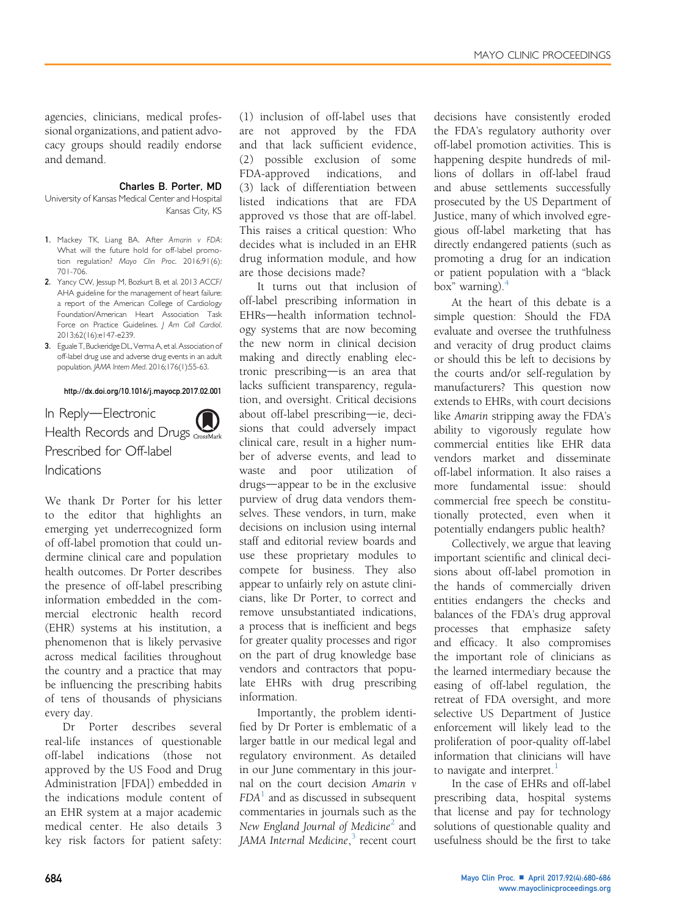agencies, clinicians, medical professional organizations, and patient advocacy groups should readily endorse and demand.

## Charles B. Porter, MD

University of Kansas Medical Center and Hospital Kansas City, KS

- 1. Mackey TK, Liang BA. After Amarin v FDA: What will the future hold for off-label promotion regulation? Mayo Clin Proc. 2016;91(6): 701-706.
- 2. Yancy CW, Jessup M, Bozkurt B, et al. 2013 ACCF/ AHA guideline for the management of heart failure: a report of the American College of Cardiology Foundation/American Heart Association Task Force on Practice Guidelines. | Am Coll Cardiol. 2013;62(16):e147-e239.
- 3. Eguale T, Buckeridge DL, Verma A, et al. Association of off-label drug use and adverse drug events in an adult population. JAMA Intern Med. 2016;176(1):55-63.

## <http://dx.doi.org/10.1016/j.mayocp.2017.02.001>

In Reply-Electronic Health Records and Drugs CrossMark Prescribed for Off-label Indications

We thank Dr Porter for his letter to the editor that highlights an emerging yet underrecognized form of off-label promotion that could undermine clinical care and population health outcomes. Dr Porter describes the presence of off-label prescribing information embedded in the commercial electronic health record (EHR) systems at his institution, a phenomenon that is likely pervasive across medical facilities throughout the country and a practice that may be influencing the prescribing habits of tens of thousands of physicians every day.

Dr Porter describes several real-life instances of questionable off-label indications (those not approved by the US Food and Drug Administration [FDA]) embedded in the indications module content of an EHR system at a major academic medical center. He also details 3 key risk factors for patient safety:

(1) inclusion of off-label uses that are not approved by the FDA and that lack sufficient evidence, (2) possible exclusion of some FDA-approved indications, and (3) lack of differentiation between listed indications that are FDA approved vs those that are off-label. This raises a critical question: Who decides what is included in an EHR drug information module, and how are those decisions made?

It turns out that inclusion of off-label prescribing information in EHRs-health information technology systems that are now becoming the new norm in clinical decision making and directly enabling electronic prescribing-is an area that lacks sufficient transparency, regulation, and oversight. Critical decisions about off-label prescribing-ie, decisions that could adversely impact clinical care, result in a higher number of adverse events, and lead to waste and poor utilization of drugs—appear to be in the exclusive purview of drug data vendors themselves. These vendors, in turn, make decisions on inclusion using internal staff and editorial review boards and use these proprietary modules to compete for business. They also appear to unfairly rely on astute clinicians, like Dr Porter, to correct and remove unsubstantiated indications, a process that is inefficient and begs for greater quality processes and rigor on the part of drug knowledge base vendors and contractors that populate EHRs with drug prescribing information.

Importantly, the problem identified by Dr Porter is emblematic of a larger battle in our medical legal and regulatory environment. As detailed in our June commentary in this journal on the court decision Amarin v  $FDA<sup>1</sup>$  $FDA<sup>1</sup>$  $FDA<sup>1</sup>$  and as discussed in subsequent commentaries in journals such as the New England Journal of Medicine<sup>[2](#page-1-0)</sup> and JAMA Internal Medicine,<sup>[3](#page-1-0)</sup> recent court

decisions have consistently eroded the FDA's regulatory authority over off-label promotion activities. This is happening despite hundreds of millions of dollars in off-label fraud and abuse settlements successfully prosecuted by the US Department of Justice, many of which involved egregious off-label marketing that has directly endangered patients (such as promoting a drug for an indication or patient population with a "black box" warning).[4](#page-1-0)

At the heart of this debate is a simple question: Should the FDA evaluate and oversee the truthfulness and veracity of drug product claims or should this be left to decisions by the courts and/or self-regulation by manufacturers? This question now extends to EHRs, with court decisions like Amarin stripping away the FDA's ability to vigorously regulate how commercial entities like EHR data vendors market and disseminate off-label information. It also raises a more fundamental issue: should commercial free speech be constitutionally protected, even when it potentially endangers public health?

Collectively, we argue that leaving important scientific and clinical decisions about off-label promotion in the hands of commercially driven entities endangers the checks and balances of the FDA's drug approval processes that emphasize safety and efficacy. It also compromises the important role of clinicians as the learned intermediary because the easing of off-label regulation, the retreat of FDA oversight, and more selective US Department of Justice enforcement will likely lead to the proliferation of poor-quality off-label information that clinicians will have to navigate and interpret. $<sup>1</sup>$  $<sup>1</sup>$  $<sup>1</sup>$ </sup>

In the case of EHRs and off-label prescribing data, hospital systems that license and pay for technology solutions of questionable quality and usefulness should be the first to take